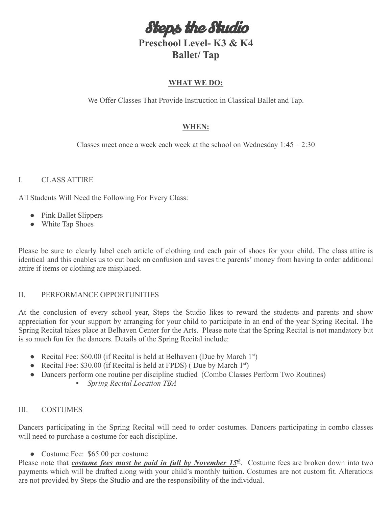Steps the Studio

# **Preschool Level- K3 & K4 Ballet/ Tap**

## **WHAT WE DO:**

We Offer Classes That Provide Instruction in Classical Ballet and Tap.

# **WHEN:**

Classes meet once a week each week at the school on Wednesday  $1:45 - 2:30$ 

## I. CLASS ATTIRE

All Students Will Need the Following For Every Class:

- Pink Ballet Slippers
- White Tap Shoes

Please be sure to clearly label each article of clothing and each pair of shoes for your child. The class attire is identical and this enables us to cut back on confusion and saves the parents' money from having to order additional attire if items or clothing are misplaced.

#### II. PERFORMANCE OPPORTUNITIES

At the conclusion of every school year, Steps the Studio likes to reward the students and parents and show appreciation for your support by arranging for your child to participate in an end of the year Spring Recital. The Spring Recital takes place at Belhaven Center for the Arts. Please note that the Spring Recital is not mandatory but is so much fun for the dancers. Details of the Spring Recital include:

- Recital Fee:  $$60.00$  (if Recital is held at Belhaven) (Due by March 1<sup>st</sup>)
- Recital Fee: \$30.00 (if Recital is held at FPDS) (Due by March  $1^{st}$ )
- *●* Dancers perform one routine per discipline studied (Combo Classes Perform Two Routines)
	- *Spring Recital Location TBA*

#### III. COSTUMES

Dancers participating in the Spring Recital will need to order costumes. Dancers participating in combo classes will need to purchase a costume for each discipline.

• Costume Fee: \$65.00 per costume

Please note that *costume fees must be paid in full by November 15<sup>th</sup>*. Costume fees are broken down into two payments which will be drafted along with your child's monthly tuition. Costumes are not custom fit. Alterations are not provided by Steps the Studio and are the responsibility of the individual.